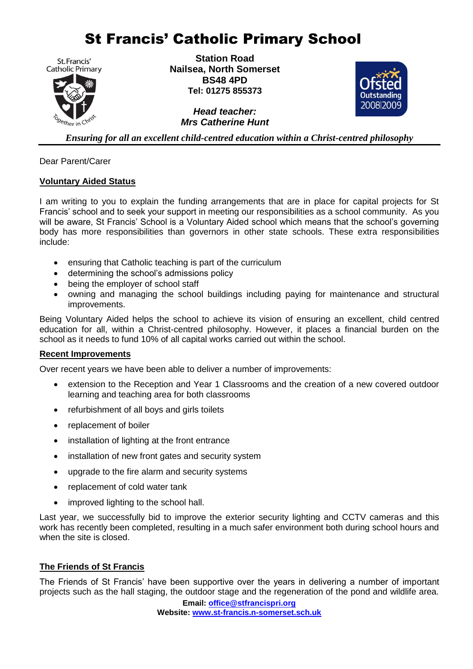# St Francis' Catholic Primary School

St. Francis' **Catholic Primary** 



**Station Road Nailsea, North Somerset BS48 4PD Tel: 01275 855373**

> *Head teacher: Mrs Catherine Hunt*



*Ensuring for all an excellent child-centred education within a Christ-centred philosophy*

Dear Parent/Carer

### **Voluntary Aided Status**

I am writing to you to explain the funding arrangements that are in place for capital projects for St Francis' school and to seek your support in meeting our responsibilities as a school community. As you will be aware, St Francis' School is a Voluntary Aided school which means that the school's governing body has more responsibilities than governors in other state schools. These extra responsibilities include:

- ensuring that Catholic teaching is part of the curriculum
- determining the school's admissions policy
- being the employer of school staff
- owning and managing the school buildings including paying for maintenance and structural improvements.

Being Voluntary Aided helps the school to achieve its vision of ensuring an excellent, child centred education for all, within a Christ-centred philosophy. However, it places a financial burden on the school as it needs to fund 10% of all capital works carried out within the school.

### **Recent Improvements**

Over recent years we have been able to deliver a number of improvements:

- extension to the Reception and Year 1 Classrooms and the creation of a new covered outdoor learning and teaching area for both classrooms
- refurbishment of all boys and girls toilets
- replacement of boiler
- installation of lighting at the front entrance
- installation of new front gates and security system
- upgrade to the fire alarm and security systems
- replacement of cold water tank
- improved lighting to the school hall.

Last year, we successfully bid to improve the exterior security lighting and CCTV cameras and this work has recently been completed, resulting in a much safer environment both during school hours and when the site is closed.

## **The Friends of St Francis**

The Friends of St Francis' have been supportive over the years in delivering a number of important projects such as the hall staging, the outdoor stage and the regeneration of the pond and wildlife area.